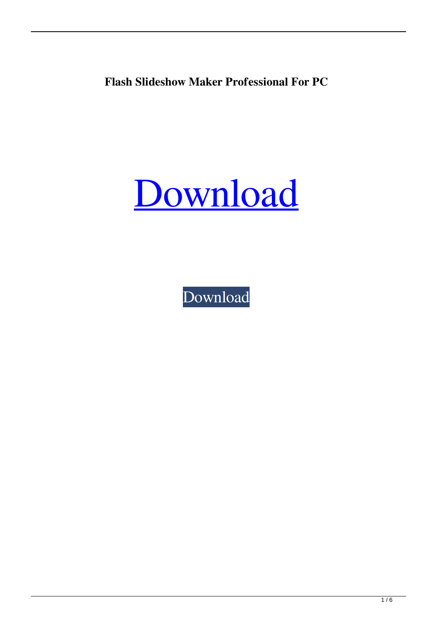**Flash Slideshow Maker Professional For PC**

# [Download](http://evacdir.com/asses/conditioning/ZG93bmxvYWR8dW83TW10emRYeDhNVFkxTkRRek5qWTFPSHg4TWpVNU1IeDhLRTBwSUZkdmNtUndjbVZ6Y3lCYldFMU1VbEJESUZZeUlGQkVSbDA/counterattacks/Rmxhc2ggU2xpZGVzaG93IE1ha2VyIFByb2Zlc3Npb25hbARmx/evangelists/)

[Download](http://evacdir.com/asses/conditioning/ZG93bmxvYWR8dW83TW10emRYeDhNVFkxTkRRek5qWTFPSHg4TWpVNU1IeDhLRTBwSUZkdmNtUndjbVZ6Y3lCYldFMU1VbEJESUZZeUlGQkVSbDA/counterattacks/Rmxhc2ggU2xpZGVzaG93IE1ha2VyIFByb2Zlc3Npb25hbARmx/evangelists/)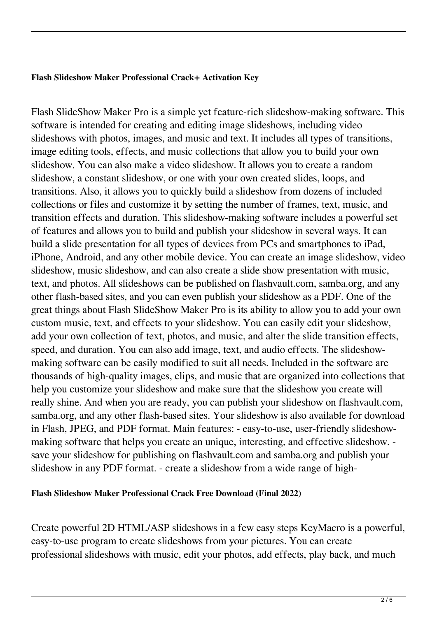#### **Flash Slideshow Maker Professional Crack+ Activation Key**

Flash SlideShow Maker Pro is a simple yet feature-rich slideshow-making software. This software is intended for creating and editing image slideshows, including video slideshows with photos, images, and music and text. It includes all types of transitions, image editing tools, effects, and music collections that allow you to build your own slideshow. You can also make a video slideshow. It allows you to create a random slideshow, a constant slideshow, or one with your own created slides, loops, and transitions. Also, it allows you to quickly build a slideshow from dozens of included collections or files and customize it by setting the number of frames, text, music, and transition effects and duration. This slideshow-making software includes a powerful set of features and allows you to build and publish your slideshow in several ways. It can build a slide presentation for all types of devices from PCs and smartphones to iPad, iPhone, Android, and any other mobile device. You can create an image slideshow, video slideshow, music slideshow, and can also create a slide show presentation with music, text, and photos. All slideshows can be published on flashvault.com, samba.org, and any other flash-based sites, and you can even publish your slideshow as a PDF. One of the great things about Flash SlideShow Maker Pro is its ability to allow you to add your own custom music, text, and effects to your slideshow. You can easily edit your slideshow, add your own collection of text, photos, and music, and alter the slide transition effects, speed, and duration. You can also add image, text, and audio effects. The slideshowmaking software can be easily modified to suit all needs. Included in the software are thousands of high-quality images, clips, and music that are organized into collections that help you customize your slideshow and make sure that the slideshow you create will really shine. And when you are ready, you can publish your slideshow on flashvault.com, samba.org, and any other flash-based sites. Your slideshow is also available for download in Flash, JPEG, and PDF format. Main features: - easy-to-use, user-friendly slideshowmaking software that helps you create an unique, interesting, and effective slideshow. save your slideshow for publishing on flashvault.com and samba.org and publish your slideshow in any PDF format. - create a slideshow from a wide range of high-

# **Flash Slideshow Maker Professional Crack Free Download (Final 2022)**

Create powerful 2D HTML/ASP slideshows in a few easy steps KeyMacro is a powerful, easy-to-use program to create slideshows from your pictures. You can create professional slideshows with music, edit your photos, add effects, play back, and much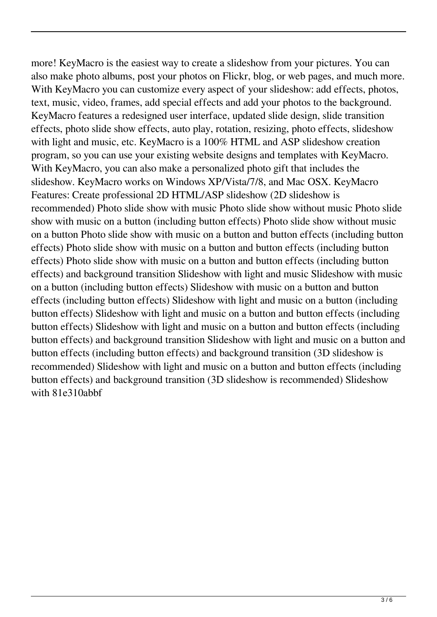more! KeyMacro is the easiest way to create a slideshow from your pictures. You can also make photo albums, post your photos on Flickr, blog, or web pages, and much more. With KeyMacro you can customize every aspect of your slideshow: add effects, photos, text, music, video, frames, add special effects and add your photos to the background. KeyMacro features a redesigned user interface, updated slide design, slide transition effects, photo slide show effects, auto play, rotation, resizing, photo effects, slideshow with light and music, etc. KeyMacro is a 100% HTML and ASP slideshow creation program, so you can use your existing website designs and templates with KeyMacro. With KeyMacro, you can also make a personalized photo gift that includes the slideshow. KeyMacro works on Windows XP/Vista/7/8, and Mac OSX. KeyMacro Features: Create professional 2D HTML/ASP slideshow (2D slideshow is recommended) Photo slide show with music Photo slide show without music Photo slide show with music on a button (including button effects) Photo slide show without music on a button Photo slide show with music on a button and button effects (including button effects) Photo slide show with music on a button and button effects (including button effects) Photo slide show with music on a button and button effects (including button effects) and background transition Slideshow with light and music Slideshow with music on a button (including button effects) Slideshow with music on a button and button effects (including button effects) Slideshow with light and music on a button (including button effects) Slideshow with light and music on a button and button effects (including button effects) Slideshow with light and music on a button and button effects (including button effects) and background transition Slideshow with light and music on a button and button effects (including button effects) and background transition (3D slideshow is recommended) Slideshow with light and music on a button and button effects (including button effects) and background transition (3D slideshow is recommended) Slideshow with 81e310abbf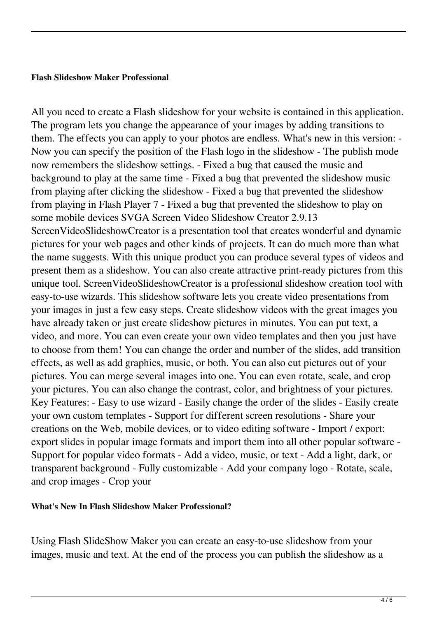#### **Flash Slideshow Maker Professional**

All you need to create a Flash slideshow for your website is contained in this application. The program lets you change the appearance of your images by adding transitions to them. The effects you can apply to your photos are endless. What's new in this version: - Now you can specify the position of the Flash logo in the slideshow - The publish mode now remembers the slideshow settings. - Fixed a bug that caused the music and background to play at the same time - Fixed a bug that prevented the slideshow music from playing after clicking the slideshow - Fixed a bug that prevented the slideshow from playing in Flash Player 7 - Fixed a bug that prevented the slideshow to play on some mobile devices SVGA Screen Video Slideshow Creator 2.9.13 ScreenVideoSlideshowCreator is a presentation tool that creates wonderful and dynamic pictures for your web pages and other kinds of projects. It can do much more than what the name suggests. With this unique product you can produce several types of videos and present them as a slideshow. You can also create attractive print-ready pictures from this unique tool. ScreenVideoSlideshowCreator is a professional slideshow creation tool with easy-to-use wizards. This slideshow software lets you create video presentations from your images in just a few easy steps. Create slideshow videos with the great images you have already taken or just create slideshow pictures in minutes. You can put text, a video, and more. You can even create your own video templates and then you just have to choose from them! You can change the order and number of the slides, add transition effects, as well as add graphics, music, or both. You can also cut pictures out of your pictures. You can merge several images into one. You can even rotate, scale, and crop your pictures. You can also change the contrast, color, and brightness of your pictures. Key Features: - Easy to use wizard - Easily change the order of the slides - Easily create your own custom templates - Support for different screen resolutions - Share your creations on the Web, mobile devices, or to video editing software - Import / export: export slides in popular image formats and import them into all other popular software - Support for popular video formats - Add a video, music, or text - Add a light, dark, or transparent background - Fully customizable - Add your company logo - Rotate, scale, and crop images - Crop your

### **What's New In Flash Slideshow Maker Professional?**

Using Flash SlideShow Maker you can create an easy-to-use slideshow from your images, music and text. At the end of the process you can publish the slideshow as a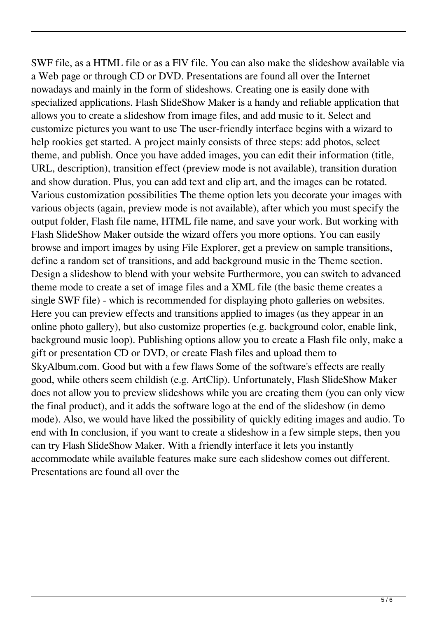SWF file, as a HTML file or as a FlV file. You can also make the slideshow available via a Web page or through CD or DVD. Presentations are found all over the Internet nowadays and mainly in the form of slideshows. Creating one is easily done with specialized applications. Flash SlideShow Maker is a handy and reliable application that allows you to create a slideshow from image files, and add music to it. Select and customize pictures you want to use The user-friendly interface begins with a wizard to help rookies get started. A project mainly consists of three steps: add photos, select theme, and publish. Once you have added images, you can edit their information (title, URL, description), transition effect (preview mode is not available), transition duration and show duration. Plus, you can add text and clip art, and the images can be rotated. Various customization possibilities The theme option lets you decorate your images with various objects (again, preview mode is not available), after which you must specify the output folder, Flash file name, HTML file name, and save your work. But working with Flash SlideShow Maker outside the wizard offers you more options. You can easily browse and import images by using File Explorer, get a preview on sample transitions, define a random set of transitions, and add background music in the Theme section. Design a slideshow to blend with your website Furthermore, you can switch to advanced theme mode to create a set of image files and a XML file (the basic theme creates a single SWF file) - which is recommended for displaying photo galleries on websites. Here you can preview effects and transitions applied to images (as they appear in an online photo gallery), but also customize properties (e.g. background color, enable link, background music loop). Publishing options allow you to create a Flash file only, make a gift or presentation CD or DVD, or create Flash files and upload them to SkyAlbum.com. Good but with a few flaws Some of the software's effects are really good, while others seem childish (e.g. ArtClip). Unfortunately, Flash SlideShow Maker does not allow you to preview slideshows while you are creating them (you can only view the final product), and it adds the software logo at the end of the slideshow (in demo mode). Also, we would have liked the possibility of quickly editing images and audio. To end with In conclusion, if you want to create a slideshow in a few simple steps, then you can try Flash SlideShow Maker. With a friendly interface it lets you instantly accommodate while available features make sure each slideshow comes out different. Presentations are found all over the